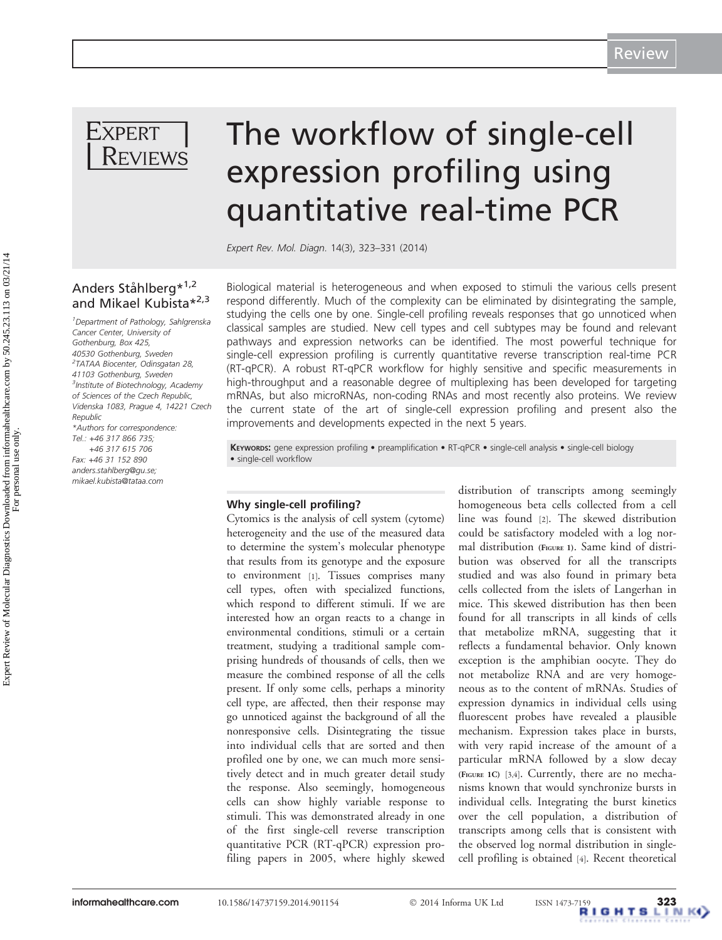

# The workflow of single-cell expression profiling using quantitative real-time PCR

Expert Rev. Mol. Diagn. 14(3), 323–331 (2014)

# Anders Ståhlberg\*<sup>1,2</sup> and Mikael Kubista\*2,3

<sup>1</sup> Department of Pathology, Sahlgrenska Cancer Center, University of Gothenburg, Box 425, 40530 Gothenburg, Sweden 2 TATAA Biocenter, Odinsgatan 28, 41103 Gothenburg, Sweden <sup>3</sup>Institute of Biotechnology, Academy of Sciences of the Czech Republic, Videnska 1083, Prague 4, 14221 Czech Republic \*Authors for correspondence: Tel.: +46 317 866 735;

+46 317 615 706 Fax: +46 31 152 890 [anders.stahlberg@gu.se](mailto:anders.stahlberg@gu.se); [mikael.kubista@tataa.com](mailto:mikael.kubista@tataa.com) Biological material is heterogeneous and when exposed to stimuli the various cells present respond differently. Much of the complexity can be eliminated by disintegrating the sample, studying the cells one by one. Single-cell profiling reveals responses that go unnoticed when classical samples are studied. New cell types and cell subtypes may be found and relevant pathways and expression networks can be identified. The most powerful technique for single-cell expression profiling is currently quantitative reverse transcription real-time PCR (RT-qPCR). A robust RT-qPCR workflow for highly sensitive and specific measurements in high-throughput and a reasonable degree of multiplexing has been developed for targeting mRNAs, but also microRNAs, non-coding RNAs and most recently also proteins. We review the current state of the art of single-cell expression profiling and present also the improvements and developments expected in the next 5 years.

KEYWORDS: gene expression profiling • preamplification • RT-qPCR • single-cell analysis • single-cell biology • single-cell workflow

## Why single-cell profiling?

Cytomics is the analysis of cell system (cytome) heterogeneity and the use of the measured data to determine the system's molecular phenotype that results from its genotype and the exposure to environment [[1\]](#page-7-0). Tissues comprises many cell types, often with specialized functions, which respond to different stimuli. If we are interested how an organ reacts to a change in environmental conditions, stimuli or a certain treatment, studying a traditional sample comprising hundreds of thousands of cells, then we measure the combined response of all the cells present. If only some cells, perhaps a minority cell type, are affected, then their response may go unnoticed against the background of all the nonresponsive cells. Disintegrating the tissue into individual cells that are sorted and then profiled one by one, we can much more sensitively detect and in much greater detail study the response. Also seemingly, homogeneous cells can show highly variable response to stimuli. This was demonstrated already in one of the first single-cell reverse transcription quantitative PCR (RT-qPCR) expression profiling papers in 2005, where highly skewed

distribution of transcripts among seemingly homogeneous beta cells collected from a cell line was found [\[2\]](#page-7-0). The skewed distribution could be satisfactory modeled with a log nor-mal distribution [\(FIGURE](#page-1-0) 1). Same kind of distribution was observed for all the transcripts studied and was also found in primary beta cells collected from the islets of Langerhan in mice. This skewed distribution has then been found for all transcripts in all kinds of cells that metabolize mRNA, suggesting that it reflects a fundamental behavior. Only known exception is the amphibian oocyte. They do not metabolize RNA and are very homogeneous as to the content of mRNAs. Studies of expression dynamics in individual cells using fluorescent probes have revealed a plausible mechanism. Expression takes place in bursts, with very rapid increase of the amount of a particular mRNA followed by a slow decay [\(FIGURE](#page-1-0) 1C) [[3,4\]](#page-7-0). Currently, there are no mechanisms known that would synchronize bursts in individual cells. Integrating the burst kinetics over the cell population, a distribution of transcripts among cells that is consistent with the observed log normal distribution in singlecell profiling is obtained [\[4\]](#page-7-0). Recent theoretical

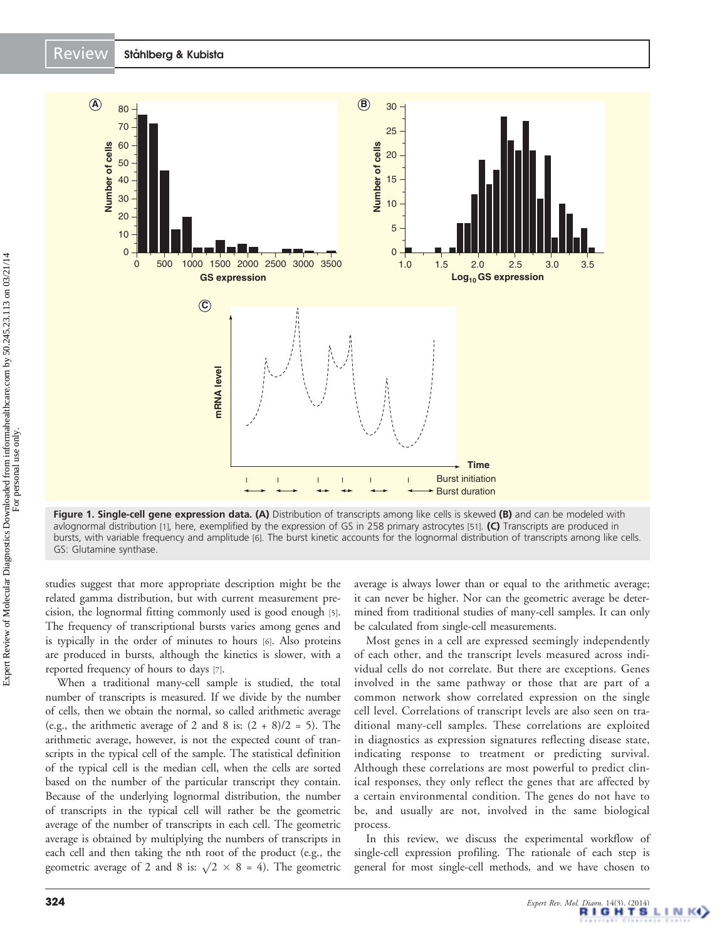# <span id="page-1-0"></span>Review Ståhlberg & Kubista



Figure 1. Single-cell gene expression data. (A) Distribution of transcripts among like cells is skewed (B) and can be modeled with avlognormal distribution [1], here, exemplified by the expression of GS in 258 primary astrocytes [51]. (C) Transcripts are produced in bursts, with variable frequency and amplitude [6]. The burst kinetic accounts for the lognormal distribution of transcripts among like cells. GS: Glutamine synthase.

studies suggest that more appropriate description might be the related gamma distribution, but with current measurement precision, the lognormal fitting commonly used is good enough [[5](#page-7-0)]. The frequency of transcriptional bursts varies among genes and is typically in the order of minutes to hours [[6](#page-7-0)]. Also proteins are produced in bursts, although the kinetics is slower, with a reported frequency of hours to days [[7](#page-7-0)].

When a traditional many-cell sample is studied, the total number of transcripts is measured. If we divide by the number of cells, then we obtain the normal, so called arithmetic average (e.g., the arithmetic average of 2 and 8 is:  $(2 + 8)/2 = 5$ ). The arithmetic average, however, is not the expected count of transcripts in the typical cell of the sample. The statistical definition of the typical cell is the median cell, when the cells are sorted based on the number of the particular transcript they contain. Because of the underlying lognormal distribution, the number of transcripts in the typical cell will rather be the geometric average of the number of transcripts in each cell. The geometric average is obtained by multiplying the numbers of transcripts in each cell and then taking the nth root of the product (e.g., the geometric average of 2 and 8 is:  $\sqrt{2} \times 8 = 4$ ). The geometric

average is always lower than or equal to the arithmetic average; it can never be higher. Nor can the geometric average be determined from traditional studies of many-cell samples. It can only be calculated from single-cell measurements.

Most genes in a cell are expressed seemingly independently of each other, and the transcript levels measured across individual cells do not correlate. But there are exceptions. Genes involved in the same pathway or those that are part of a common network show correlated expression on the single cell level. Correlations of transcript levels are also seen on traditional many-cell samples. These correlations are exploited in diagnostics as expression signatures reflecting disease state, indicating response to treatment or predicting survival. Although these correlations are most powerful to predict clinical responses, they only reflect the genes that are affected by a certain environmental condition. The genes do not have to be, and usually are not, involved in the same biological process.

In this review, we discuss the experimental workflow of single-cell expression profiling. The rationale of each step is general for most single-cell methods, and we have chosen to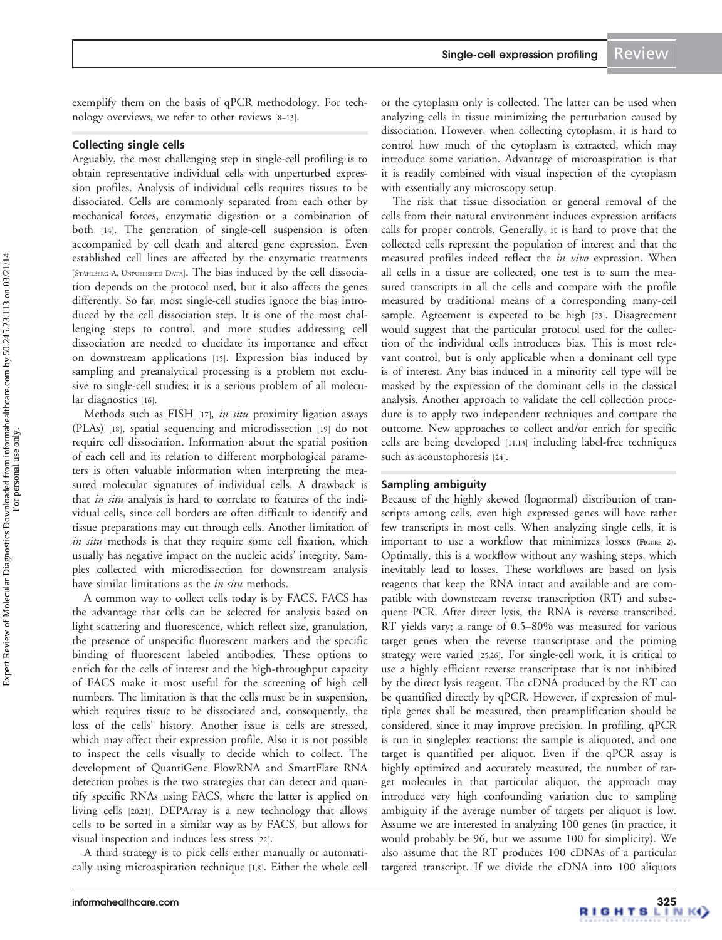exemplify them on the basis of qPCR methodology. For technology overviews, we refer to other reviews [\[8](#page-7-0)–[13](#page-8-0)].

# Collecting single cells

Arguably, the most challenging step in single-cell profiling is to obtain representative individual cells with unperturbed expression profiles. Analysis of individual cells requires tissues to be dissociated. Cells are commonly separated from each other by mechanical forces, enzymatic digestion or a combination of both [\[14\]](#page-8-0). The generation of single-cell suspension is often accompanied by cell death and altered gene expression. Even established cell lines are affected by the enzymatic treatments [STÅHLBERG A, UNPUBLISHED DATA]. The bias induced by the cell dissociation depends on the protocol used, but it also affects the genes differently. So far, most single-cell studies ignore the bias introduced by the cell dissociation step. It is one of the most challenging steps to control, and more studies addressing cell dissociation are needed to elucidate its importance and effect on downstream applications [[15](#page-8-0)]. Expression bias induced by sampling and preanalytical processing is a problem not exclusive to single-cell studies; it is a serious problem of all molecular diagnostics [\[16](#page-8-0)].

Methods such as FISH [\[17](#page-8-0)], in situ proximity ligation assays (PLAs) [\[18\]](#page-8-0), spatial sequencing and microdissection [[19](#page-8-0)] do not require cell dissociation. Information about the spatial position of each cell and its relation to different morphological parameters is often valuable information when interpreting the measured molecular signatures of individual cells. A drawback is that in situ analysis is hard to correlate to features of the individual cells, since cell borders are often difficult to identify and tissue preparations may cut through cells. Another limitation of in situ methods is that they require some cell fixation, which usually has negative impact on the nucleic acids' integrity. Samples collected with microdissection for downstream analysis have similar limitations as the *in situ* methods.

A common way to collect cells today is by FACS. FACS has the advantage that cells can be selected for analysis based on light scattering and fluorescence, which reflect size, granulation, the presence of unspecific fluorescent markers and the specific binding of fluorescent labeled antibodies. These options to enrich for the cells of interest and the high-throughput capacity of FACS make it most useful for the screening of high cell numbers. The limitation is that the cells must be in suspension, which requires tissue to be dissociated and, consequently, the loss of the cells' history. Another issue is cells are stressed, which may affect their expression profile. Also it is not possible to inspect the cells visually to decide which to collect. The development of QuantiGene FlowRNA and SmartFlare RNA detection probes is the two strategies that can detect and quantify specific RNAs using FACS, where the latter is applied on living cells [\[20,21](#page-8-0)]. DEPArray is a new technology that allows cells to be sorted in a similar way as by FACS, but allows for visual inspection and induces less stress [\[22\]](#page-8-0).

A third strategy is to pick cells either manually or automatically using microaspiration technique [\[1,8](#page-7-0)]. Either the whole cell or the cytoplasm only is collected. The latter can be used when analyzing cells in tissue minimizing the perturbation caused by dissociation. However, when collecting cytoplasm, it is hard to control how much of the cytoplasm is extracted, which may introduce some variation. Advantage of microaspiration is that it is readily combined with visual inspection of the cytoplasm with essentially any microscopy setup.

The risk that tissue dissociation or general removal of the cells from their natural environment induces expression artifacts calls for proper controls. Generally, it is hard to prove that the collected cells represent the population of interest and that the measured profiles indeed reflect the in vivo expression. When all cells in a tissue are collected, one test is to sum the measured transcripts in all the cells and compare with the profile measured by traditional means of a corresponding many-cell sample. Agreement is expected to be high [[23\]](#page-8-0). Disagreement would suggest that the particular protocol used for the collection of the individual cells introduces bias. This is most relevant control, but is only applicable when a dominant cell type is of interest. Any bias induced in a minority cell type will be masked by the expression of the dominant cells in the classical analysis. Another approach to validate the cell collection procedure is to apply two independent techniques and compare the outcome. New approaches to collect and/or enrich for specific cells are being developed [[11](#page-8-0),[13](#page-8-0)] including label-free techniques such as acoustophoresis [\[24\]](#page-8-0).

## Sampling ambiguity

Because of the highly skewed (lognormal) distribution of transcripts among cells, even high expressed genes will have rather few transcripts in most cells. When analyzing single cells, it is important to use a workflow that minimizes losses [\(FIGURE](#page-3-0) 2). Optimally, this is a workflow without any washing steps, which inevitably lead to losses. These workflows are based on lysis reagents that keep the RNA intact and available and are compatible with downstream reverse transcription (RT) and subsequent PCR. After direct lysis, the RNA is reverse transcribed. RT yields vary; a range of 0.5–80% was measured for various target genes when the reverse transcriptase and the priming strategy were varied [[25](#page-8-0),[26](#page-8-0)]. For single-cell work, it is critical to use a highly efficient reverse transcriptase that is not inhibited by the direct lysis reagent. The cDNA produced by the RT can be quantified directly by qPCR. However, if expression of multiple genes shall be measured, then preamplification should be considered, since it may improve precision. In profiling, qPCR is run in singleplex reactions: the sample is aliquoted, and one target is quantified per aliquot. Even if the qPCR assay is highly optimized and accurately measured, the number of target molecules in that particular aliquot, the approach may introduce very high confounding variation due to sampling ambiguity if the average number of targets per aliquot is low. Assume we are interested in analyzing 100 genes (in practice, it would probably be 96, but we assume 100 for simplicity). We also assume that the RT produces 100 cDNAs of a particular targeted transcript. If we divide the cDNA into 100 aliquots

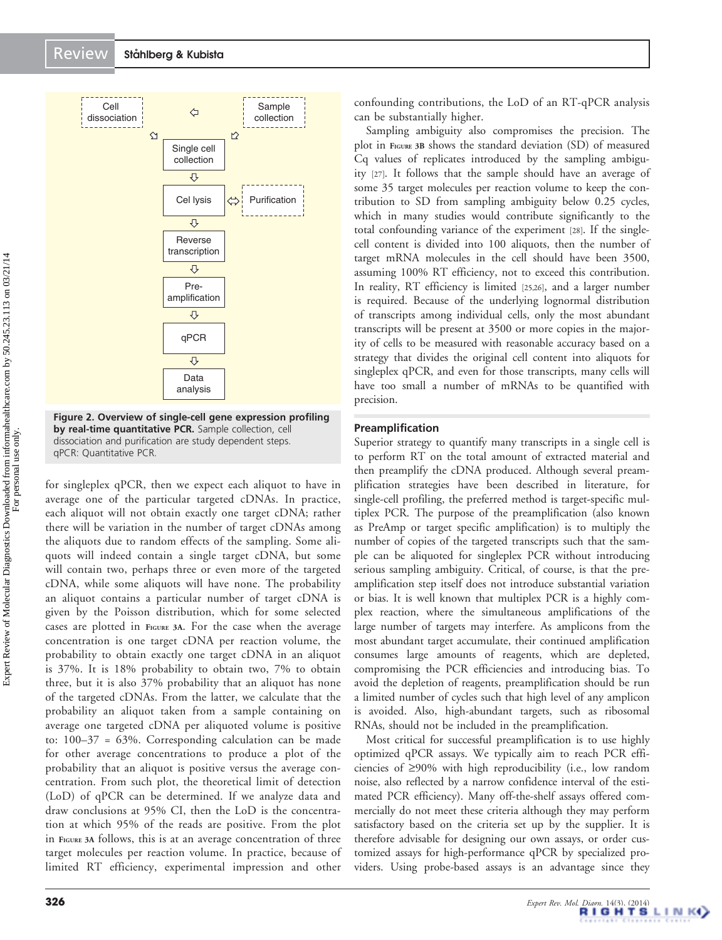<span id="page-3-0"></span>

Figure 2. Overview of single-cell gene expression profiling by real-time quantitative PCR. Sample collection, cell dissociation and purification are study dependent steps. qPCR: Quantitative PCR.

for singleplex qPCR, then we expect each aliquot to have in average one of the particular targeted cDNAs. In practice, each aliquot will not obtain exactly one target cDNA; rather there will be variation in the number of target cDNAs among the aliquots due to random effects of the sampling. Some aliquots will indeed contain a single target cDNA, but some will contain two, perhaps three or even more of the targeted cDNA, while some aliquots will have none. The probability an aliquot contains a particular number of target cDNA is given by the Poisson distribution, which for some selected cases are plotted in [FIGURE](#page-4-0) 3A. For the case when the average concentration is one target cDNA per reaction volume, the probability to obtain exactly one target cDNA in an aliquot is 37%. It is 18% probability to obtain two, 7% to obtain three, but it is also 37% probability that an aliquot has none of the targeted cDNAs. From the latter, we calculate that the probability an aliquot taken from a sample containing on average one targeted cDNA per aliquoted volume is positive to: 100–37 = 63%. Corresponding calculation can be made for other average concentrations to produce a plot of the probability that an aliquot is positive versus the average concentration. From such plot, the theoretical limit of detection (LoD) of qPCR can be determined. If we analyze data and draw conclusions at 95% CI, then the LoD is the concentration at which 95% of the reads are positive. From the plot in [FIGURE](#page-4-0) 3A follows, this is at an average concentration of three target molecules per reaction volume. In practice, because of limited RT efficiency, experimental impression and other confounding contributions, the LoD of an RT-qPCR analysis can be substantially higher.

Sampling ambiguity also compromises the precision. The plot in [FIGURE](#page-4-0) 3B shows the standard deviation (SD) of measured Cq values of replicates introduced by the sampling ambiguity [[27](#page-8-0)]. It follows that the sample should have an average of some 35 target molecules per reaction volume to keep the contribution to SD from sampling ambiguity below 0.25 cycles, which in many studies would contribute significantly to the total confounding variance of the experiment [\[28\]](#page-8-0). If the singlecell content is divided into 100 aliquots, then the number of target mRNA molecules in the cell should have been 3500, assuming 100% RT efficiency, not to exceed this contribution. In reality, RT efficiency is limited [[25](#page-8-0),[26](#page-8-0)], and a larger number is required. Because of the underlying lognormal distribution of transcripts among individual cells, only the most abundant transcripts will be present at 3500 or more copies in the majority of cells to be measured with reasonable accuracy based on a strategy that divides the original cell content into aliquots for singleplex qPCR, and even for those transcripts, many cells will have too small a number of mRNAs to be quantified with precision.

#### Preamplification

Superior strategy to quantify many transcripts in a single cell is to perform RT on the total amount of extracted material and then preamplify the cDNA produced. Although several preamplification strategies have been described in literature, for single-cell profiling, the preferred method is target-specific multiplex PCR. The purpose of the preamplification (also known as PreAmp or target specific amplification) is to multiply the number of copies of the targeted transcripts such that the sample can be aliquoted for singleplex PCR without introducing serious sampling ambiguity. Critical, of course, is that the preamplification step itself does not introduce substantial variation or bias. It is well known that multiplex PCR is a highly complex reaction, where the simultaneous amplifications of the large number of targets may interfere. As amplicons from the most abundant target accumulate, their continued amplification consumes large amounts of reagents, which are depleted, compromising the PCR efficiencies and introducing bias. To avoid the depletion of reagents, preamplification should be run a limited number of cycles such that high level of any amplicon is avoided. Also, high-abundant targets, such as ribosomal RNAs, should not be included in the preamplification.

Most critical for successful preamplification is to use highly optimized qPCR assays. We typically aim to reach PCR efficiencies of  $\geq$ 90% with high reproducibility (i.e., low random noise, also reflected by a narrow confidence interval of the estimated PCR efficiency). Many off-the-shelf assays offered commercially do not meet these criteria although they may perform satisfactory based on the criteria set up by the supplier. It is therefore advisable for designing our own assays, or order customized assays for high-performance qPCR by specialized providers. Using probe-based assays is an advantage since they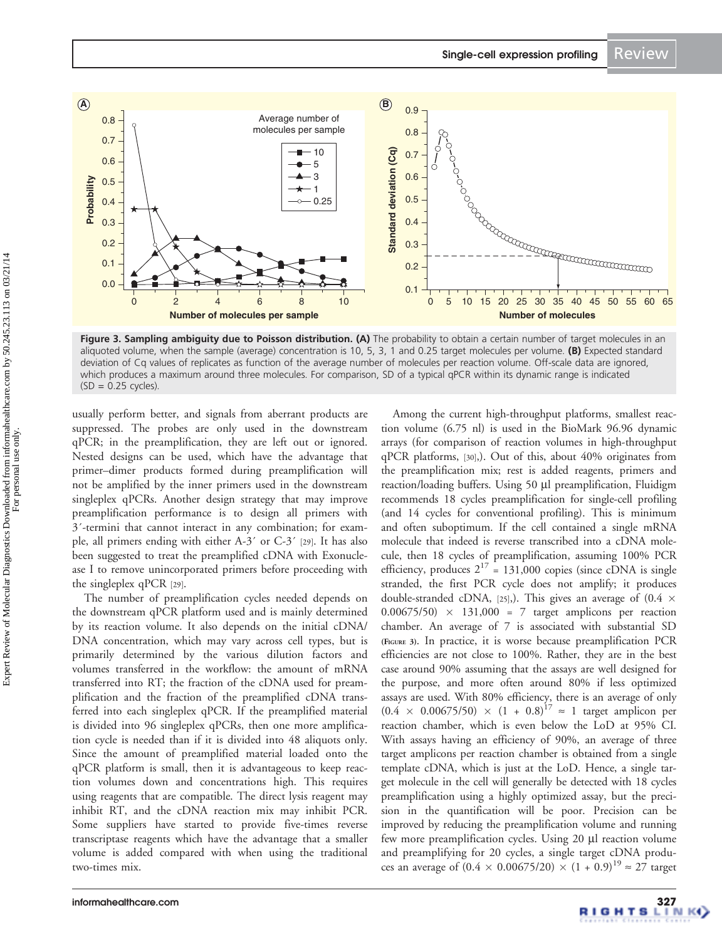<span id="page-4-0"></span>

Figure 3. Sampling ambiguity due to Poisson distribution. (A) The probability to obtain a certain number of target molecules in an aliquoted volume, when the sample (average) concentration is 10, 5, 3, 1 and 0.25 target molecules per volume. (B) Expected standard deviation of Cq values of replicates as function of the average number of molecules per reaction volume. Off-scale data are ignored, which produces a maximum around three molecules. For comparison, SD of a typical qPCR within its dynamic range is indicated  $(SD = 0.25$  cycles).

usually perform better, and signals from aberrant products are suppressed. The probes are only used in the downstream qPCR; in the preamplification, they are left out or ignored. Nested designs can be used, which have the advantage that primer–dimer products formed during preamplification will not be amplified by the inner primers used in the downstream singleplex qPCRs. Another design strategy that may improve preamplification performance is to design all primers with 3´-termini that cannot interact in any combination; for example, all primers ending with either A-3´ or C-3´ [[29](#page-8-0)]. It has also been suggested to treat the preamplified cDNA with Exonuclease I to remove unincorporated primers before proceeding with the singleplex qPCR [\[29\]](#page-8-0).

The number of preamplification cycles needed depends on the downstream qPCR platform used and is mainly determined by its reaction volume. It also depends on the initial cDNA/ DNA concentration, which may vary across cell types, but is primarily determined by the various dilution factors and volumes transferred in the workflow: the amount of mRNA transferred into RT; the fraction of the cDNA used for preamplification and the fraction of the preamplified cDNA transferred into each singleplex qPCR. If the preamplified material is divided into 96 singleplex qPCRs, then one more amplification cycle is needed than if it is divided into 48 aliquots only. Since the amount of preamplified material loaded onto the qPCR platform is small, then it is advantageous to keep reaction volumes down and concentrations high. This requires using reagents that are compatible. The direct lysis reagent may inhibit RT, and the cDNA reaction mix may inhibit PCR. Some suppliers have started to provide five-times reverse transcriptase reagents which have the advantage that a smaller volume is added compared with when using the traditional two-times mix.

Among the current high-throughput platforms, smallest reaction volume (6.75 nl) is used in the BioMark 96.96 dynamic arrays (for comparison of reaction volumes in high-throughput qPCR platforms, [[30](#page-8-0)],). Out of this, about 40% originates from the preamplification mix; rest is added reagents, primers and reaction/loading buffers. Using 50 µl preamplification, Fluidigm recommends 18 cycles preamplification for single-cell profiling (and 14 cycles for conventional profiling). This is minimum and often suboptimum. If the cell contained a single mRNA molecule that indeed is reverse transcribed into a cDNA molecule, then 18 cycles of preamplification, assuming 100% PCR efficiency, produces  $2^{17}$  = 131,000 copies (since cDNA is single stranded, the first PCR cycle does not amplify; it produces double-stranded cDNA, [[25](#page-8-0)],). This gives an average of  $(0.4 \times$  $(0.00675/50) \times 131,000 = 7$  target amplicons per reaction chamber. An average of 7 is associated with substantial SD (FIGURE 3). In practice, it is worse because preamplification PCR efficiencies are not close to 100%. Rather, they are in the best case around 90% assuming that the assays are well designed for the purpose, and more often around 80% if less optimized assays are used. With 80% efficiency, there is an average of only  $(0.4 \times 0.00675/50) \times (1 + 0.8)^{17} \approx 1$  target amplicon per reaction chamber, which is even below the LoD at 95% CI. With assays having an efficiency of 90%, an average of three target amplicons per reaction chamber is obtained from a single template cDNA, which is just at the LoD. Hence, a single target molecule in the cell will generally be detected with 18 cycles preamplification using a highly optimized assay, but the precision in the quantification will be poor. Precision can be improved by reducing the preamplification volume and running few more preamplification cycles. Using 20 µl reaction volume and preamplifying for 20 cycles, a single target cDNA produces an average of  $(0.4 \times 0.00675/20) \times (1 + 0.9)^{19} \approx 27$  target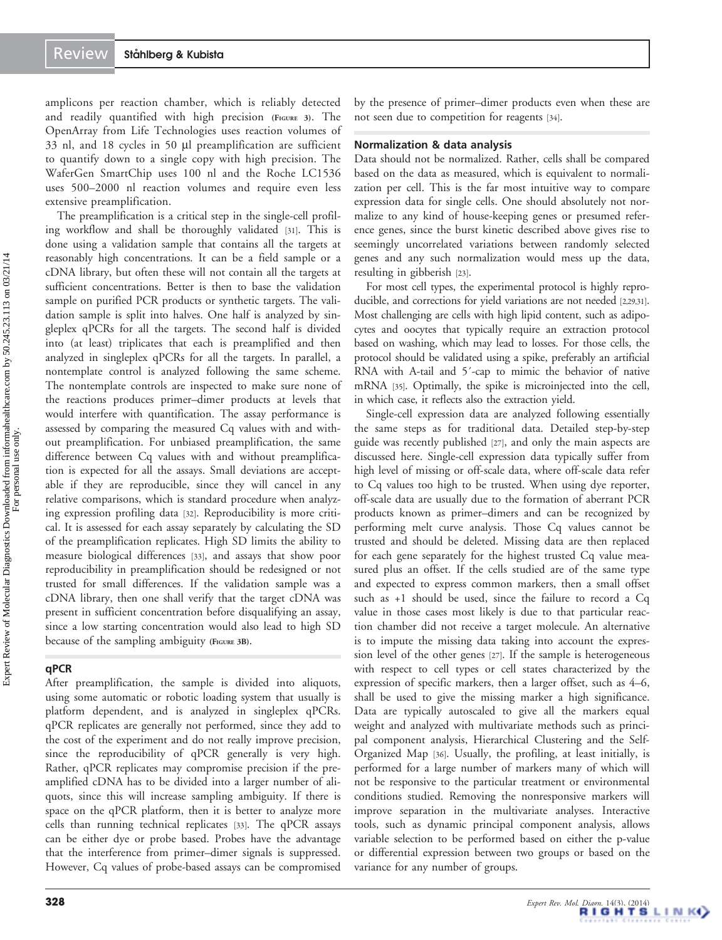amplicons per reaction chamber, which is reliably detected and readily quantified with high precision [\(FIGURE](#page-4-0) 3). The OpenArray from Life Technologies uses reaction volumes of 33 nl, and 18 cycles in 50 µl preamplification are sufficient to quantify down to a single copy with high precision. The WaferGen SmartChip uses 100 nl and the Roche LC1536 uses 500–2000 nl reaction volumes and require even less extensive preamplification.

The preamplification is a critical step in the single-cell profiling workflow and shall be thoroughly validated [[31](#page-8-0)]. This is done using a validation sample that contains all the targets at reasonably high concentrations. It can be a field sample or a cDNA library, but often these will not contain all the targets at sufficient concentrations. Better is then to base the validation sample on purified PCR products or synthetic targets. The validation sample is split into halves. One half is analyzed by singleplex qPCRs for all the targets. The second half is divided into (at least) triplicates that each is preamplified and then analyzed in singleplex qPCRs for all the targets. In parallel, a nontemplate control is analyzed following the same scheme. The nontemplate controls are inspected to make sure none of the reactions produces primer–dimer products at levels that would interfere with quantification. The assay performance is assessed by comparing the measured Cq values with and without preamplification. For unbiased preamplification, the same difference between Cq values with and without preamplification is expected for all the assays. Small deviations are acceptable if they are reproducible, since they will cancel in any relative comparisons, which is standard procedure when analyzing expression profiling data [[32](#page-8-0)]. Reproducibility is more critical. It is assessed for each assay separately by calculating the SD of the preamplification replicates. High SD limits the ability to measure biological differences [[33](#page-8-0)], and assays that show poor reproducibility in preamplification should be redesigned or not trusted for small differences. If the validation sample was a cDNA library, then one shall verify that the target cDNA was present in sufficient concentration before disqualifying an assay, since a low starting concentration would also lead to high SD because of the sampling ambiguity [\(FIGURE](#page-4-0) 3B).

## qPCR

After preamplification, the sample is divided into aliquots, using some automatic or robotic loading system that usually is platform dependent, and is analyzed in singleplex qPCRs. qPCR replicates are generally not performed, since they add to the cost of the experiment and do not really improve precision, since the reproducibility of qPCR generally is very high. Rather, qPCR replicates may compromise precision if the preamplified cDNA has to be divided into a larger number of aliquots, since this will increase sampling ambiguity. If there is space on the qPCR platform, then it is better to analyze more cells than running technical replicates [[33](#page-8-0)]. The qPCR assays can be either dye or probe based. Probes have the advantage that the interference from primer–dimer signals is suppressed. However, Cq values of probe-based assays can be compromised by the presence of primer–dimer products even when these are not seen due to competition for reagents [[34](#page-8-0)].

### Normalization & data analysis

Data should not be normalized. Rather, cells shall be compared based on the data as measured, which is equivalent to normalization per cell. This is the far most intuitive way to compare expression data for single cells. One should absolutely not normalize to any kind of house-keeping genes or presumed reference genes, since the burst kinetic described above gives rise to seemingly uncorrelated variations between randomly selected genes and any such normalization would mess up the data, resulting in gibberish [[23](#page-8-0)].

For most cell types, the experimental protocol is highly reproducible, and corrections for yield variations are not needed [\[2,](#page-7-0)[29](#page-8-0),[31\]](#page-8-0). Most challenging are cells with high lipid content, such as adipocytes and oocytes that typically require an extraction protocol based on washing, which may lead to losses. For those cells, the protocol should be validated using a spike, preferably an artificial RNA with A-tail and 5´-cap to mimic the behavior of native mRNA [\[35\]](#page-8-0). Optimally, the spike is microinjected into the cell, in which case, it reflects also the extraction yield.

Single-cell expression data are analyzed following essentially the same steps as for traditional data. Detailed step-by-step guide was recently published [[27](#page-8-0)], and only the main aspects are discussed here. Single-cell expression data typically suffer from high level of missing or off-scale data, where off-scale data refer to Cq values too high to be trusted. When using dye reporter, off-scale data are usually due to the formation of aberrant PCR products known as primer–dimers and can be recognized by performing melt curve analysis. Those Cq values cannot be trusted and should be deleted. Missing data are then replaced for each gene separately for the highest trusted Cq value measured plus an offset. If the cells studied are of the same type and expected to express common markers, then a small offset such as +1 should be used, since the failure to record a Cq value in those cases most likely is due to that particular reaction chamber did not receive a target molecule. An alternative is to impute the missing data taking into account the expression level of the other genes [\[27\]](#page-8-0). If the sample is heterogeneous with respect to cell types or cell states characterized by the expression of specific markers, then a larger offset, such as 4–6, shall be used to give the missing marker a high significance. Data are typically autoscaled to give all the markers equal weight and analyzed with multivariate methods such as principal component analysis, Hierarchical Clustering and the Self-Organized Map [[36\]](#page-8-0). Usually, the profiling, at least initially, is performed for a large number of markers many of which will not be responsive to the particular treatment or environmental conditions studied. Removing the nonresponsive markers will improve separation in the multivariate analyses. Interactive tools, such as dynamic principal component analysis, allows variable selection to be performed based on either the p-value or differential expression between two groups or based on the variance for any number of groups.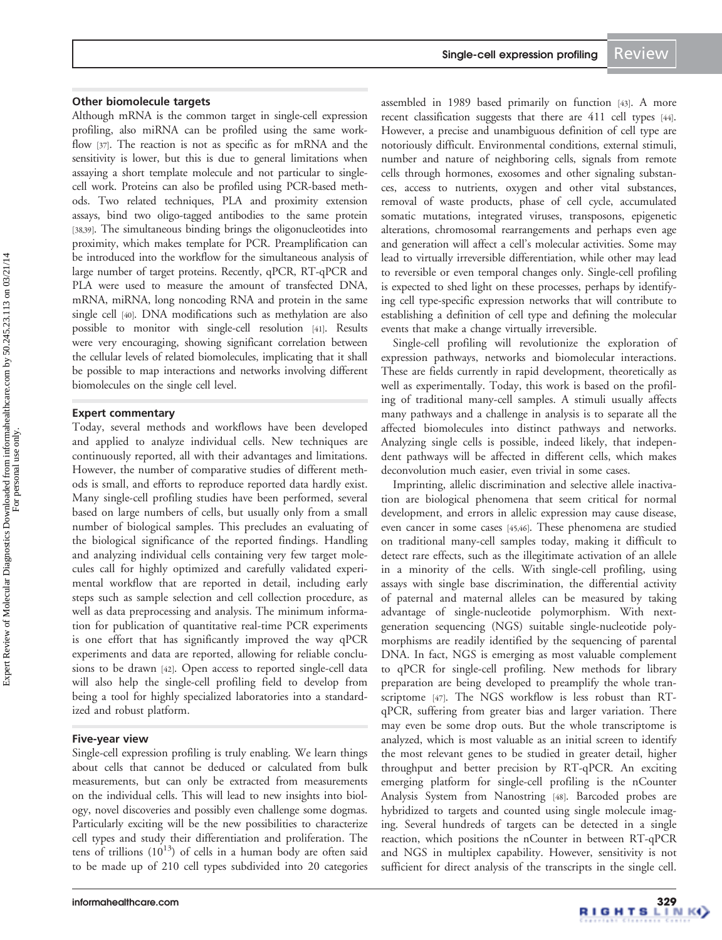#### Other biomolecule targets

Although mRNA is the common target in single-cell expression profiling, also miRNA can be profiled using the same workflow [[37](#page-8-0)]. The reaction is not as specific as for mRNA and the sensitivity is lower, but this is due to general limitations when assaying a short template molecule and not particular to singlecell work. Proteins can also be profiled using PCR-based methods. Two related techniques, PLA and proximity extension assays, bind two oligo-tagged antibodies to the same protein [\[38,39](#page-8-0)]. The simultaneous binding brings the oligonucleotides into proximity, which makes template for PCR. Preamplification can be introduced into the workflow for the simultaneous analysis of large number of target proteins. Recently, qPCR, RT-qPCR and PLA were used to measure the amount of transfected DNA, mRNA, miRNA, long noncoding RNA and protein in the same single cell [[40](#page-8-0)]. DNA modifications such as methylation are also possible to monitor with single-cell resolution [\[41\]](#page-8-0). Results were very encouraging, showing significant correlation between the cellular levels of related biomolecules, implicating that it shall be possible to map interactions and networks involving different biomolecules on the single cell level.

## Expert commentary

Today, several methods and workflows have been developed and applied to analyze individual cells. New techniques are continuously reported, all with their advantages and limitations. However, the number of comparative studies of different methods is small, and efforts to reproduce reported data hardly exist. Many single-cell profiling studies have been performed, several based on large numbers of cells, but usually only from a small number of biological samples. This precludes an evaluating of the biological significance of the reported findings. Handling and analyzing individual cells containing very few target molecules call for highly optimized and carefully validated experimental workflow that are reported in detail, including early steps such as sample selection and cell collection procedure, as well as data preprocessing and analysis. The minimum information for publication of quantitative real-time PCR experiments is one effort that has significantly improved the way qPCR experiments and data are reported, allowing for reliable conclusions to be drawn [\[42\]](#page-8-0). Open access to reported single-cell data will also help the single-cell profiling field to develop from being a tool for highly specialized laboratories into a standardized and robust platform.

#### Five-year view

Single-cell expression profiling is truly enabling. We learn things about cells that cannot be deduced or calculated from bulk measurements, but can only be extracted from measurements on the individual cells. This will lead to new insights into biology, novel discoveries and possibly even challenge some dogmas. Particularly exciting will be the new possibilities to characterize cell types and study their differentiation and proliferation. The tens of trillions  $(10^{13})$  of cells in a human body are often said to be made up of 210 cell types subdivided into 20 categories

assembled in 1989 based primarily on function [[43](#page-8-0)]. A more recent classification suggests that there are 411 cell types [\[44](#page-8-0)]. However, a precise and unambiguous definition of cell type are notoriously difficult. Environmental conditions, external stimuli, number and nature of neighboring cells, signals from remote cells through hormones, exosomes and other signaling substances, access to nutrients, oxygen and other vital substances, removal of waste products, phase of cell cycle, accumulated somatic mutations, integrated viruses, transposons, epigenetic alterations, chromosomal rearrangements and perhaps even age and generation will affect a cell's molecular activities. Some may lead to virtually irreversible differentiation, while other may lead to reversible or even temporal changes only. Single-cell profiling is expected to shed light on these processes, perhaps by identifying cell type-specific expression networks that will contribute to establishing a definition of cell type and defining the molecular events that make a change virtually irreversible.

Single-cell profiling will revolutionize the exploration of expression pathways, networks and biomolecular interactions. These are fields currently in rapid development, theoretically as well as experimentally. Today, this work is based on the profiling of traditional many-cell samples. A stimuli usually affects many pathways and a challenge in analysis is to separate all the affected biomolecules into distinct pathways and networks. Analyzing single cells is possible, indeed likely, that independent pathways will be affected in different cells, which makes deconvolution much easier, even trivial in some cases.

Imprinting, allelic discrimination and selective allele inactivation are biological phenomena that seem critical for normal development, and errors in allelic expression may cause disease, even cancer in some cases [\[45,46\]](#page-8-0). These phenomena are studied on traditional many-cell samples today, making it difficult to detect rare effects, such as the illegitimate activation of an allele in a minority of the cells. With single-cell profiling, using assays with single base discrimination, the differential activity of paternal and maternal alleles can be measured by taking advantage of single-nucleotide polymorphism. With nextgeneration sequencing (NGS) suitable single-nucleotide polymorphisms are readily identified by the sequencing of parental DNA. In fact, NGS is emerging as most valuable complement to qPCR for single-cell profiling. New methods for library preparation are being developed to preamplify the whole transcriptome [\[47\]](#page-8-0). The NGS workflow is less robust than RTqPCR, suffering from greater bias and larger variation. There may even be some drop outs. But the whole transcriptome is analyzed, which is most valuable as an initial screen to identify the most relevant genes to be studied in greater detail, higher throughput and better precision by RT-qPCR. An exciting emerging platform for single-cell profiling is the nCounter Analysis System from Nanostring [[48](#page-8-0)]. Barcoded probes are hybridized to targets and counted using single molecule imaging. Several hundreds of targets can be detected in a single reaction, which positions the nCounter in between RT-qPCR and NGS in multiplex capability. However, sensitivity is not sufficient for direct analysis of the transcripts in the single cell.

[informahealthcare.com](http://informahealthcare.com) 329<br> **RIGHTSLINK4**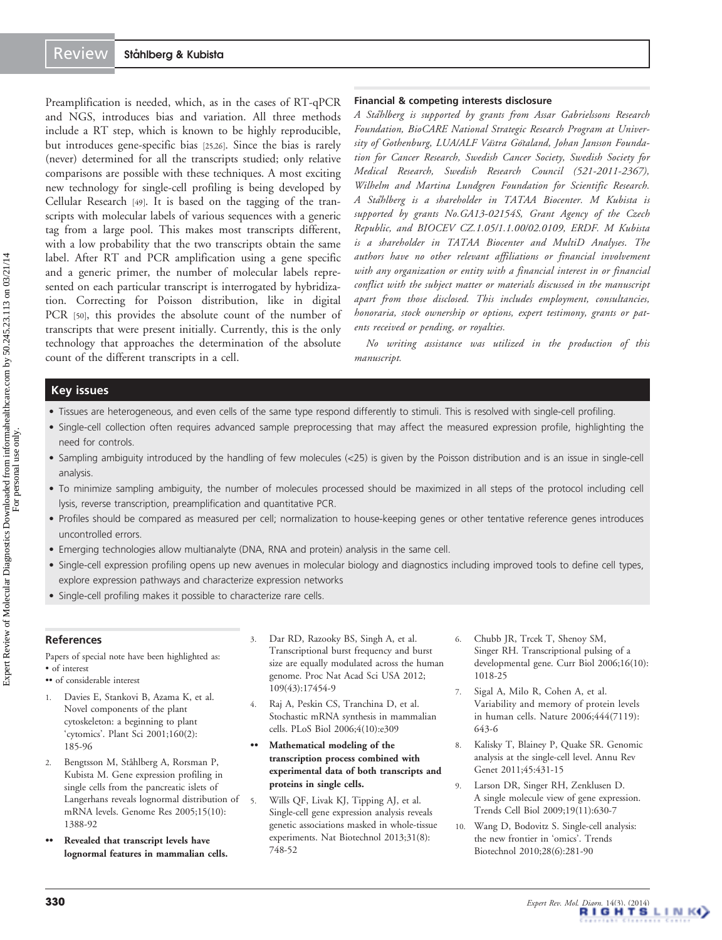<span id="page-7-0"></span>Preamplification is needed, which, as in the cases of RT-qPCR and NGS, introduces bias and variation. All three methods include a RT step, which is known to be highly reproducible, but introduces gene-specific bias [\[25,26\]](#page-8-0). Since the bias is rarely (never) determined for all the transcripts studied; only relative comparisons are possible with these techniques. A most exciting new technology for single-cell profiling is being developed by Cellular Research [[49](#page-8-0)]. It is based on the tagging of the transcripts with molecular labels of various sequences with a generic tag from a large pool. This makes most transcripts different, with a low probability that the two transcripts obtain the same label. After RT and PCR amplification using a gene specific and a generic primer, the number of molecular labels represented on each particular transcript is interrogated by hybridization. Correcting for Poisson distribution, like in digital PCR [\[50\]](#page-8-0), this provides the absolute count of the number of transcripts that were present initially. Currently, this is the only technology that approaches the determination of the absolute count of the different transcripts in a cell.

#### Financial & competing interests disclosure

A Ståhlberg is supported by grants from Assar Gabrielssons Research Foundation, BioCARE National Strategic Research Program at University of Gothenburg, LUA/ALF Västra Götaland, Johan Jansson Foundation for Cancer Research, Swedish Cancer Society, Swedish Society for Medical Research, Swedish Research Council (521-2011-2367), Wilhelm and Martina Lundgren Foundation for Scientific Research. A Sta˚hlberg is a shareholder in TATAA Biocenter. M Kubista is supported by grants No. GA13-02154S, Grant Agency of the Czech Republic, and BIOCEV CZ.1.05/1.1.00/02.0109, ERDF. M Kubista is a shareholder in TATAA Biocenter and MultiD Analyses. The authors have no other relevant affiliations or financial involvement with any organization or entity with a financial interest in or financial conflict with the subject matter or materials discussed in the manuscript apart from those disclosed. This includes employment, consultancies, honoraria, stock ownership or options, expert testimony, grants or patents received or pending, or royalties.

No writing assistance was utilized in the production of this manuscript.

### Key issues

- Tissues are heterogeneous, and even cells of the same type respond differently to stimuli. This is resolved with single-cell profiling.
- Single-cell collection often requires advanced sample preprocessing that may affect the measured expression profile, highlighting the need for controls.
- Sampling ambiguity introduced by the handling of few molecules (<25) is given by the Poisson distribution and is an issue in single-cell analysis.
- To minimize sampling ambiguity, the number of molecules processed should be maximized in all steps of the protocol including cell lysis, reverse transcription, preamplification and quantitative PCR.
- Profiles should be compared as measured per cell; normalization to house-keeping genes or other tentative reference genes introduces uncontrolled errors.
- Emerging technologies allow multianalyte (DNA, RNA and protein) analysis in the same cell.
- Single-cell expression profiling opens up new avenues in molecular biology and diagnostics including improved tools to define cell types, explore expression pathways and characterize expression networks
- Single-cell profiling makes it possible to characterize rare cells.

#### References

Papers of special note have been highlighted as: • of interest

- •• of considerable interest
- 1. Davies E, Stankovi B, Azama K, et al. [Novel components of the plant](www.ncbi.nlm.nih.gov/pubmed/11164590?dopt=Abstract) [cytoskeleton: a beginning to plant](www.ncbi.nlm.nih.gov/pubmed/11164590?dopt=Abstract) '[cytomics](www.ncbi.nlm.nih.gov/pubmed/11164590?dopt=Abstract)'. Plant Sci 2001;160(2): 185-96
- 2. Bengtsson M, Ståhlberg A, Rorsman P, Kubista M. [Gene expression profiling in](www.ncbi.nlm.nih.gov/pubmed/16204192?dopt=Abstract) [single cells from the pancreatic islets of](www.ncbi.nlm.nih.gov/pubmed/16204192?dopt=Abstract) [Langerhans reveals lognormal distribution of](www.ncbi.nlm.nih.gov/pubmed/16204192?dopt=Abstract) [mRNA levels.](www.ncbi.nlm.nih.gov/pubmed/16204192?dopt=Abstract) Genome Res 2005;15(10): 1388-92
- Revealed that transcript levels have lognormal features in mammalian cells.
- 3. Dar RD, Razooky BS, Singh A, et al. [Transcriptional burst frequency and burst](www.ncbi.nlm.nih.gov/pubmed/23064634?dopt=Abstract) [size are equally modulated across the human](www.ncbi.nlm.nih.gov/pubmed/23064634?dopt=Abstract) [genome.](www.ncbi.nlm.nih.gov/pubmed/23064634?dopt=Abstract) Proc Nat Acad Sci USA 2012; 109(43):17454-9
- 4. Raj A, Peskin CS, Tranchina D, et al. [Stochastic mRNA synthesis in mammalian](www.ncbi.nlm.nih.gov/pubmed/17048983?dopt=Abstract) [cells.](www.ncbi.nlm.nih.gov/pubmed/17048983?dopt=Abstract) PLoS Biol 2006;4(10):e309
- •• Mathematical modeling of the transcription process combined with experimental data of both transcripts and proteins in single cells.
- 5. Wills QF, Livak KJ, Tipping AJ, et al. [Single-cell gene expression analysis reveals](www.ncbi.nlm.nih.gov/pubmed/23873083?dopt=Abstract) [genetic associations masked in whole-tissue](www.ncbi.nlm.nih.gov/pubmed/23873083?dopt=Abstract) [experiments](www.ncbi.nlm.nih.gov/pubmed/23873083?dopt=Abstract). Nat Biotechnol 2013;31(8): 748-52
- 6. Chubb JR, Trcek T, Shenoy SM, Singer RH. [Transcriptional pulsing of a](www.ncbi.nlm.nih.gov/pubmed/16713960?dopt=Abstract) [developmental gene](www.ncbi.nlm.nih.gov/pubmed/16713960?dopt=Abstract). Curr Biol 2006;16(10): 1018-25
- Sigal A, Milo R, Cohen A, et al. [Variability and memory of protein levels](www.ncbi.nlm.nih.gov/pubmed/17122776?dopt=Abstract) [in human cells.](www.ncbi.nlm.nih.gov/pubmed/17122776?dopt=Abstract) Nature 2006;444(7119): 643-6
- Kalisky T, Blainey P, Quake SR. [Genomic](www.ncbi.nlm.nih.gov/pubmed/21942365?dopt=Abstract) [analysis at the single-cell level](www.ncbi.nlm.nih.gov/pubmed/21942365?dopt=Abstract). Annu Rev Genet 2011;45:431-15
- 9. Larson DR, Singer RH, Zenklusen D. [A single molecule view of gene expression.](www.ncbi.nlm.nih.gov/pubmed/19819144?dopt=Abstract) Trends Cell Biol 2009;19(11):630-7
- 10. Wang D, Bodovitz S. [Single-cell analysis:](www.ncbi.nlm.nih.gov/pubmed/20434785?dopt=Abstract) [the new frontier in](www.ncbi.nlm.nih.gov/pubmed/20434785?dopt=Abstract) '[omics](www.ncbi.nlm.nih.gov/pubmed/20434785?dopt=Abstract)'. Trends Biotechnol 2010;28(6):281-90